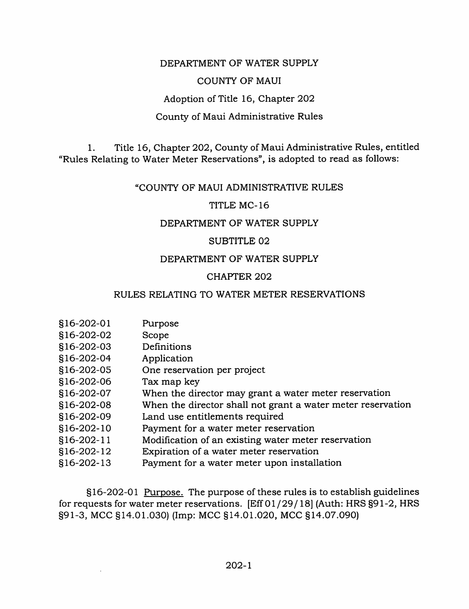## DEPARTMENT OF WATER SUPPLY

# COUNTY OF MAUI

#### Adoption of Title 16, Chapter 202

# County of Maui Administrative Rules

1. Title 16, Chapter 202, County of Maui Administrative Rules, entitled "Rules Relating to Water Meter Reservations", is adopted to read as follows:

#### "COUNTY OF MAUI ADMINISTRATIVE RULES

## TITLE MC-16

## DEPARTMENT OF WATER SUPPLY

## SUBTITLE 02

## DEPARTMENT OF WATER SUPPLY

#### CHAPTER 202

## RULES RELATING TO WATER METER RESERVATIONS

| §16-202-01 | Purpose                                                     |
|------------|-------------------------------------------------------------|
| §16-202-02 | Scope                                                       |
| §16-202-03 | Definitions                                                 |
| §16-202-04 | Application                                                 |
| §16-202-05 | One reservation per project                                 |
| §16-202-06 | Tax map key                                                 |
| §16-202-07 | When the director may grant a water meter reservation       |
| §16-202-08 | When the director shall not grant a water meter reservation |
| §16-202-09 | Land use entitlements required                              |
| §16-202-10 | Payment for a water meter reservation                       |
| §16-202-11 | Modification of an existing water meter reservation         |
| §16-202-12 | Expiration of a water meter reservation                     |
| §16-202-13 | Payment for a water meter upon installation                 |
|            |                                                             |

§16-202-01 Purpose. The purpose of these rules is to establish guidelines for requests for water meter reservations. [Eff 01/29/18] (Auth: HRS §91-2, HRS §91-3, MCC §14.01.030) (Imp: MCC §14.01.020, MCC §14.07.090)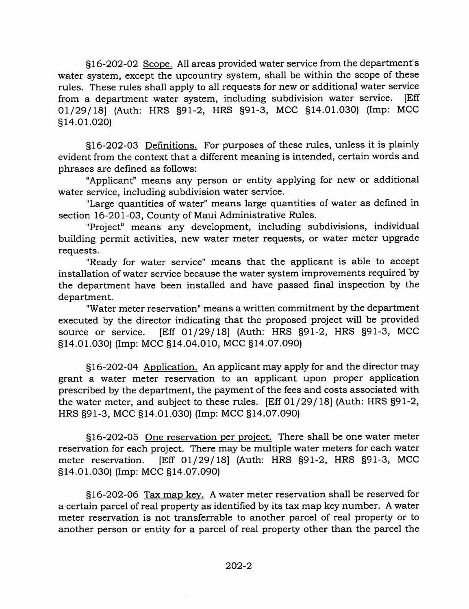§16-202-02 Scope. All areas provided water service from the department's water system, except the upcountry system, shall be within the scope of these rules. These rules shall apply to all requests for new or additional water service from a department water system, including subdivision water service. [Eff 01/29/18] (Auth: HRS §91-2, HRS §91-3, MCC §14.01.030) (Imp: MCC §14.01.020)

§16-202-03 Definitions. For purposes of these rules, unless it is plainly evident from the context that a different meaning is intended, certain words and phrases are defined as follows:

"Applicant" means any person or entity applying for new or additional water service, including subdivision water service.

"Large quantities of water" means large quantities of water as defined in section 16-201-03, County of Maui Administrative Rules.

"Project" means any development, including subdivisions, individual building permit activities, new water meter requests, or water meter upgrade requests.

"Ready for water service" means that the applicant is able to accept installation of water service because the water system improvements required by the department have been installed and have passed final inspection by the department.

"Water meter reservation" means a written commitment by the department executed by the director indicating that the proposed project will be provided source or service. [Eff 01/29/18] (Auth: HRS §91-2, HRS §91-3, MCC §14.01.030) (Imp: MCC §14.04.010, MCC §14.07.090)

§16-202-04 Application. An applicant may apply for and the director may grant a water meter reservation to an applicant upon proper application prescribed by the department, the payment of the fees and costs associated with the water meter, and subject to these rules. [Eff 01/29/18] (Auth: HRS §91-2, HRS §91-3, MCC §14.01.030) (Imp: MCC §14.07.090)

§16-202-05 One reservation per project. There shall be one water meter reservation for each project. There may be multiple water meters for each water meter reservation. [Eff 01/29/18] (Auth: HRS §91-2, HRS §91-3, MCC §14.01.030) (Imp: MCC §14.07.090)

§16-202-06 Tax map key. A water meter reservation shall be reserved for a certain parcel of real property as identified by its tax map key number. A water meter reservation is not transferrable to another parcel of real property or to another person or entity for a parcel of real property other than the parcel the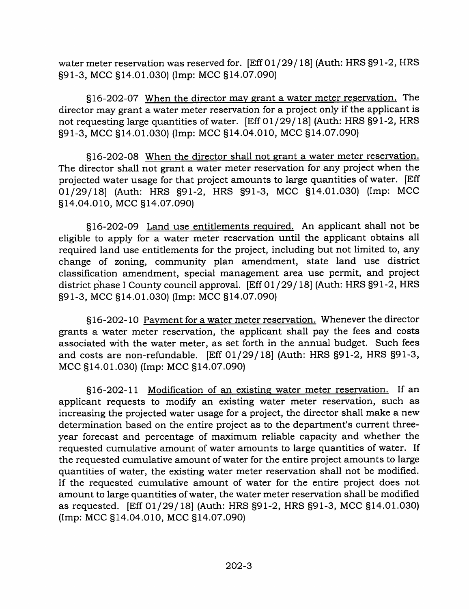water meter reservation was reserved for. [Eff 01 /29/18] (Auth: HRS §91-2, HRS §91-3, MCC §14.01.030) (Imp: MCC §14.07.090)

§16-202-07 When the director mav grant a water meter reservation. The director may grant a water meter reservation for a project only if the applicant is not requesting large quantities of water. [Eff 01/29/18] (Auth: HRS §91-2, HRS §91-3, MCC §14.01.030) (Imp: MCC §14.04.010, MCC §14.07.090)

§16-202-08 When the director shall not grant a water meter reservation. The director shall not grant a water meter reservation for any project when the projected water usage for that project amounts to large quantities of water. [Eff 01/29/18] (Auth: HRS §91-2, HRS §91-3, MCC §14.01.030) (Imp: MCC §14.04.010, MCC §14.07.090)

§16-202-09 Land use entitlements required. An applicant shall not be eligible to apply for a water meter reservation until the applicant obtains all required land use entitlements for the project, including but not limited to, any change of zoning, community plan amendment, state land use district classification amendment, special management area use permit, and project district phase 1 County council approval. [Eff 01 / 29/18] (Auth: HRS §91-2, HRS §91-3, MCC §14.01.030) (Imp: MCC §14.07.090)

§16-202-10 Pavment for a water meter reservation. Whenever the director grants a water meter reservation, the applicant shall pay the fees and costs associated with the water meter, as set forth in the annual budget. Such fees and costs are non-refundable. [Eff 01/29/18] (Auth: HRS §91-2, HRS §91-3, MCC §14.01.030) (Imp: MCC §14.07.090)

§16-202-11 Modification of an existing water meter reservation. If an applicant requests to modify an existing water meter reservation, such as increasing the projected water usage for a project, the director shall make a new determination based on the entire project as to the department's current threeyear forecast and percentage of maximum reliable capacity and whether the requested cumulative amount of water amounts to large quantities of water. If the requested cumulative amount of water for the entire project amounts to large quantities of water, the existing water meter reservation shall not be modified. If the requested cumulative amount of water for the entire project does not amount to large quantities of water, the water meter reservation shall be modified as requested. [Eff 01/29/18] (Auth: HRS §91-2, HRS §91-3, MCC §14.01.030) (Imp: MCC §14.04.010, MCC §14.07.090)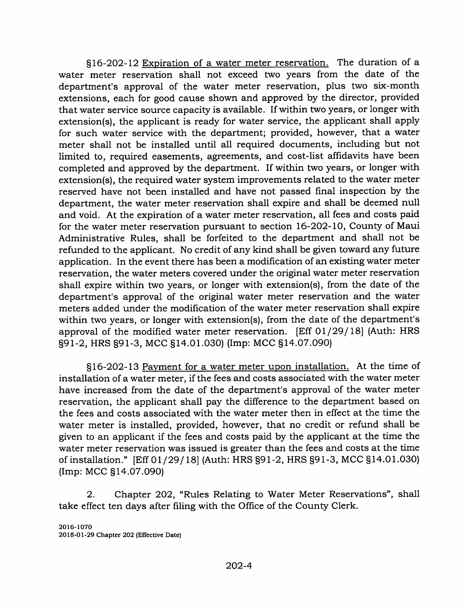§16-202-12 Expiration of a water meter reservation. The duration of a water meter reservation shall not exceed two years from the date of the department's approval of the water meter reservation, plus two six-month extensions, each for good cause shown and approved by the director, provided that water service source capacity is available. If within two years, or longer with extension(s), the applicant is ready for water service, the applicant shall apply for such water service with the department; provided, however, that a water meter shall not be installed until all required documents, including but not limited to, required easements, agreements, and cost-list affidavits have been completed and approved by the department. If within two years, or longer with extension(s), the required water system improvements related to the water meter reserved have not been installed and have not passed final inspection by the department, the water meter reservation shall expire and shall be deemed null and void. At the expiration of a water meter reservation, all fees and costs paid for the water meter reservation pursuant to section 16-202-10, County of Maui Administrative Rules, shall be forfeited to the department and shall not be refunded to the applicant. No credit of any kind shall be given toward any future application. In the event there has been a modification of an existing water meter reservation, the water meters covered under the original water meter reservation shall expire within two years, or longer with extension(s), from the date of the department's approval of the original water meter reservation and the water meters added under the modification of the water meter reservation shall expire within two years, or longer with extension(s), from the date of the department's approval of the modified water meter reservation. [Eff 01/29/18] (Auth: HRS §91-2, HRS §91-3, MCC §14.01.030) (Imp: MCC §14.07.090)

§16-202-13 Payment for a water meter upon installation. At the time of installation of a water meter, if the fees and costs associated with the water meter have increased from the date of the department's approval of the water meter reservation, the applicant shall pay the difference to the department based on the fees and costs associated with the water meter then in effect at the time the water meter is installed, provided, however, that no credit or refund shall be given to an applicant if the fees and costs paid by the applicant at the time the water meter reservation was issued is greater than the fees and costs at the time of installation." [Eff 01/29/18] (Auth: HRS §91-2, HRS §91-3, MCC §14.01.030) (Imp: MCC §14.07.090)

2. Chapter 202, "Rules Relating to Water Meter Reservations", shall take effect ten days after filing with the Office of the County Clerk.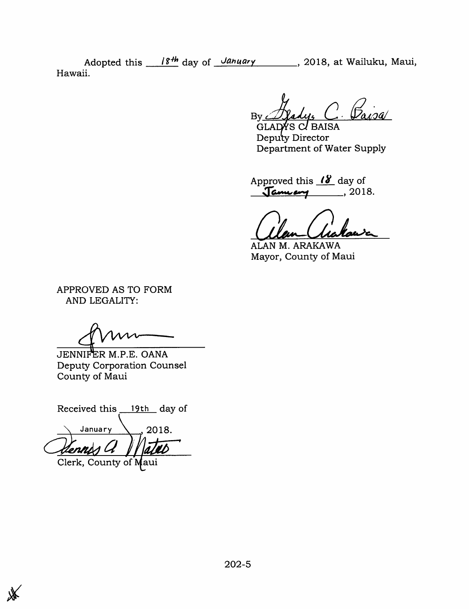Adopted this  $\frac{18^{th}}{18^{th}}$  day of *January* 2018, at Wailuku, Maui, Hawaii.

 $\mathcal{D}$ aisal By *Alady*, C.<br>GLADYS C. BAISA

Deputy Director Department of Water Supply

Approved this  $\mathcal{B}$  day of January , 2018.

ALAN M. ARAKAWA Mayor, County of Maui

APPROVED AS TO FORM AND LEGALITY:

JENNIFER M.P.E. OANA Deputy Corporation Counsel County of Maui

Received this 19th day of January  $\setminus$  2018.  $\frac{a}{a}$  / ates nni Clerk, County of Maui